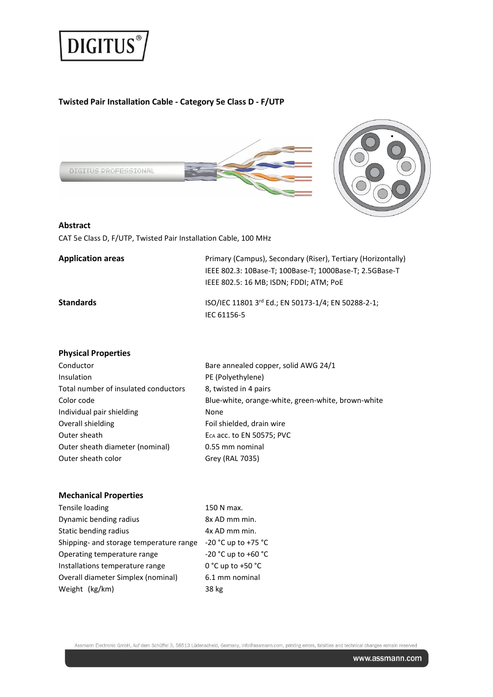

# **Twisted Pair Installation Cable - Category 5e Class D - F/UTP**



#### **Abstract**

CAT 5e Class D, F/UTP, Twisted Pair Installation Cable, 100 MHz

| <b>Application areas</b> | Primary (Campus), Secondary (Riser), Tertiary (Horizontally)<br>IEEE 802.3: 10Base-T; 100Base-T; 1000Base-T; 2.5GBase-T<br>IEEE 802.5: 16 MB; ISDN; FDDI; ATM; PoE |
|--------------------------|--------------------------------------------------------------------------------------------------------------------------------------------------------------------|
| Standards                | ISO/IEC 11801 3rd Ed.; EN 50173-1/4; EN 50288-2-1;<br>IEC 61156-5                                                                                                  |

#### **Physical Properties**

| Conductor                            | Bare annealed copper, solid AWG 24/1               |
|--------------------------------------|----------------------------------------------------|
| Insulation                           | PE (Polyethylene)                                  |
| Total number of insulated conductors | 8, twisted in 4 pairs                              |
| Color code                           | Blue-white, orange-white, green-white, brown-white |
| Individual pair shielding            | None                                               |
| Overall shielding                    | Foil shielded, drain wire                          |
| Outer sheath                         | E <sub>CA</sub> acc. to EN 50575; PVC              |
| Outer sheath diameter (nominal)      | 0.55 mm nominal                                    |
| Outer sheath color                   | Grey (RAL 7035)                                    |
|                                      |                                                    |

#### **Mechanical Properties**

| Tensile loading                         | 150 N max.            |
|-----------------------------------------|-----------------------|
| Dynamic bending radius                  | 8x AD mm min.         |
| Static bending radius                   | 4x AD mm min.         |
| Shipping- and storage temperature range | -20 °C up to +75 °C   |
| Operating temperature range             | -20 °C up to +60 °C   |
| Installations temperature range         | $0 °C$ up to +50 $°C$ |
| Overall diameter Simplex (nominal)      | 6.1 mm nominal        |
| Weight (kg/km)                          | 38 kg                 |

Assmann Electronic GmbH, Auf dem Schüffel 3, 58513 Lüdenscheid, Germany, info@assmann.com, printing errors, falsities and technical changes remain reserved